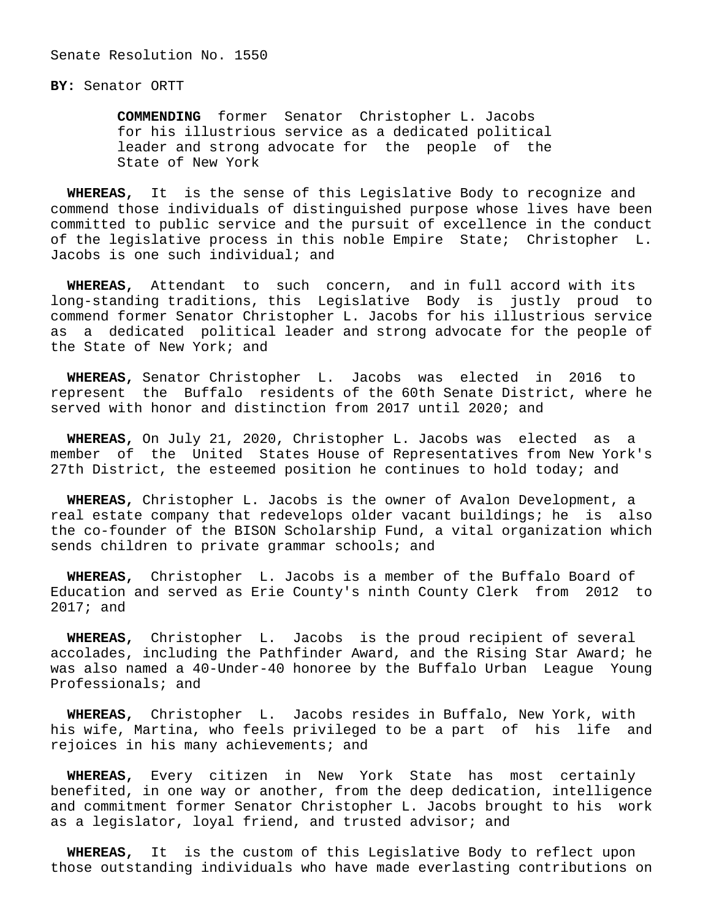Senate Resolution No. 1550

**BY:** Senator ORTT

 **COMMENDING** former Senator Christopher L. Jacobs for his illustrious service as a dedicated political leader and strong advocate for the people of the State of New York

 **WHEREAS,** It is the sense of this Legislative Body to recognize and commend those individuals of distinguished purpose whose lives have been committed to public service and the pursuit of excellence in the conduct of the legislative process in this noble Empire State; Christopher L. Jacobs is one such individual; and

 **WHEREAS,** Attendant to such concern, and in full accord with its long-standing traditions, this Legislative Body is justly proud to commend former Senator Christopher L. Jacobs for his illustrious service as a dedicated political leader and strong advocate for the people of the State of New York; and

 **WHEREAS,** Senator Christopher L. Jacobs was elected in 2016 to represent the Buffalo residents of the 60th Senate District, where he served with honor and distinction from 2017 until 2020; and

 **WHEREAS,** On July 21, 2020, Christopher L. Jacobs was elected as a member of the United States House of Representatives from New York's 27th District, the esteemed position he continues to hold today; and

 **WHEREAS,** Christopher L. Jacobs is the owner of Avalon Development, a real estate company that redevelops older vacant buildings; he is also the co-founder of the BISON Scholarship Fund, a vital organization which sends children to private grammar schools; and

 **WHEREAS,** Christopher L. Jacobs is a member of the Buffalo Board of Education and served as Erie County's ninth County Clerk from 2012 to 2017; and

 **WHEREAS,** Christopher L. Jacobs is the proud recipient of several accolades, including the Pathfinder Award, and the Rising Star Award; he was also named a 40-Under-40 honoree by the Buffalo Urban League Young Professionals; and

 **WHEREAS,** Christopher L. Jacobs resides in Buffalo, New York, with his wife, Martina, who feels privileged to be a part of his life and rejoices in his many achievements; and

 **WHEREAS,** Every citizen in New York State has most certainly benefited, in one way or another, from the deep dedication, intelligence and commitment former Senator Christopher L. Jacobs brought to his work as a legislator, loyal friend, and trusted advisor; and

 **WHEREAS,** It is the custom of this Legislative Body to reflect upon those outstanding individuals who have made everlasting contributions on